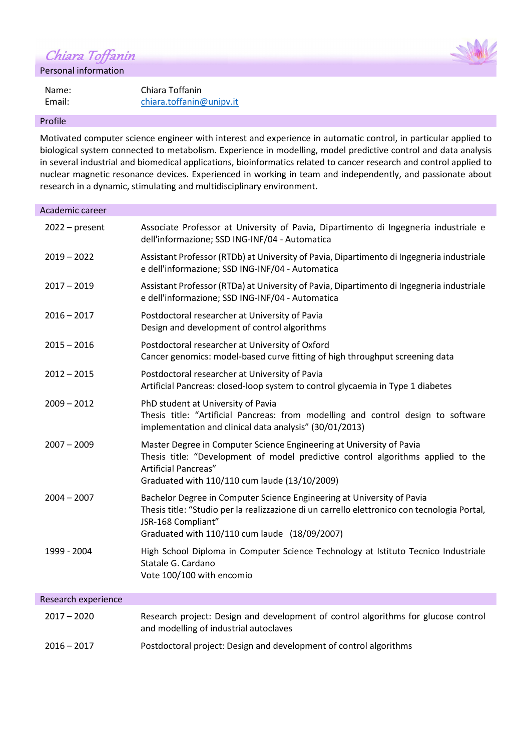Chiara Toffanin

Personal information

Name: Chiara Toffanin Email: [chiara.toffanin@unipv.it](mailto:chiara.toffanin@unipv.it)

#### Profile

Motivated computer science engineer with interest and experience in automatic control, in particular applied to biological system connected to metabolism. Experience in modelling, model predictive control and data analysis in several industrial and biomedical applications, bioinformatics related to cancer research and control applied to nuclear magnetic resonance devices. Experienced in working in team and independently, and passionate about research in a dynamic, stimulating and multidisciplinary environment.

| Academic career     |                                                                                                                                                                                                                                               |
|---------------------|-----------------------------------------------------------------------------------------------------------------------------------------------------------------------------------------------------------------------------------------------|
| $2022 - present$    | Associate Professor at University of Pavia, Dipartimento di Ingegneria industriale e<br>dell'informazione; SSD ING-INF/04 - Automatica                                                                                                        |
| $2019 - 2022$       | Assistant Professor (RTDb) at University of Pavia, Dipartimento di Ingegneria industriale<br>e dell'informazione; SSD ING-INF/04 - Automatica                                                                                                 |
| $2017 - 2019$       | Assistant Professor (RTDa) at University of Pavia, Dipartimento di Ingegneria industriale<br>e dell'informazione; SSD ING-INF/04 - Automatica                                                                                                 |
| $2016 - 2017$       | Postdoctoral researcher at University of Pavia<br>Design and development of control algorithms                                                                                                                                                |
| $2015 - 2016$       | Postdoctoral researcher at University of Oxford<br>Cancer genomics: model-based curve fitting of high throughput screening data                                                                                                               |
| $2012 - 2015$       | Postdoctoral researcher at University of Pavia<br>Artificial Pancreas: closed-loop system to control glycaemia in Type 1 diabetes                                                                                                             |
| $2009 - 2012$       | PhD student at University of Pavia<br>Thesis title: "Artificial Pancreas: from modelling and control design to software<br>implementation and clinical data analysis" (30/01/2013)                                                            |
| $2007 - 2009$       | Master Degree in Computer Science Engineering at University of Pavia<br>Thesis title: "Development of model predictive control algorithms applied to the<br>Artificial Pancreas"<br>Graduated with 110/110 cum laude (13/10/2009)             |
| $2004 - 2007$       | Bachelor Degree in Computer Science Engineering at University of Pavia<br>Thesis title: "Studio per la realizzazione di un carrello elettronico con tecnologia Portal,<br>JSR-168 Compliant"<br>Graduated with 110/110 cum laude (18/09/2007) |
| 1999 - 2004         | High School Diploma in Computer Science Technology at Istituto Tecnico Industriale<br>Statale G. Cardano<br>Vote 100/100 with encomio                                                                                                         |
| Research experience |                                                                                                                                                                                                                                               |
| $2017 - 2020$       | Research project: Design and development of control algorithms for glucose control<br>and modelling of industrial autoclaves                                                                                                                  |
| $2016 - 2017$       | Postdoctoral project: Design and development of control algorithms                                                                                                                                                                            |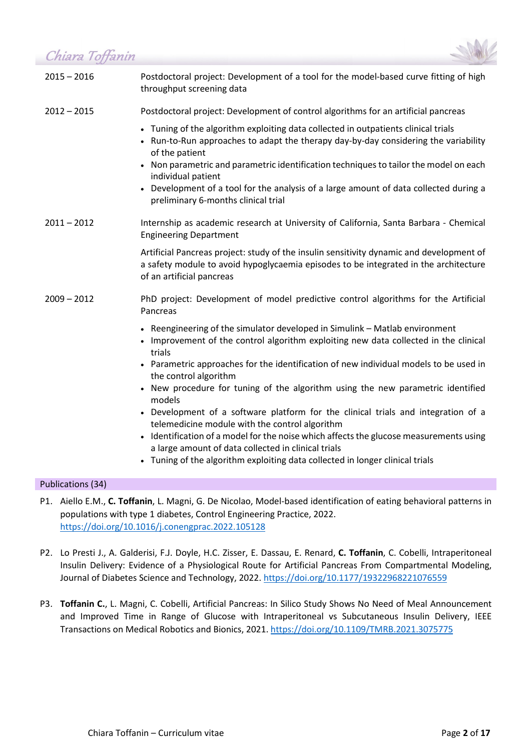Chiara Toffanin



| __________    |                                                                                                                                                                                                               |
|---------------|---------------------------------------------------------------------------------------------------------------------------------------------------------------------------------------------------------------|
| $2015 - 2016$ | Postdoctoral project: Development of a tool for the model-based curve fitting of high<br>throughput screening data                                                                                            |
| $2012 - 2015$ | Postdoctoral project: Development of control algorithms for an artificial pancreas                                                                                                                            |
|               | • Tuning of the algorithm exploiting data collected in outpatients clinical trials<br>• Run-to-Run approaches to adapt the therapy day-by-day considering the variability<br>of the patient                   |
|               | Non parametric and parametric identification techniques to tailor the model on each<br>$\bullet$<br>individual patient                                                                                        |
|               | Development of a tool for the analysis of a large amount of data collected during a<br>preliminary 6-months clinical trial                                                                                    |
| $2011 - 2012$ | Internship as academic research at University of California, Santa Barbara - Chemical<br><b>Engineering Department</b>                                                                                        |
|               | Artificial Pancreas project: study of the insulin sensitivity dynamic and development of<br>a safety module to avoid hypoglycaemia episodes to be integrated in the architecture<br>of an artificial pancreas |
| $2009 - 2012$ | PhD project: Development of model predictive control algorithms for the Artificial<br>Pancreas                                                                                                                |
|               | • Reengineering of the simulator developed in Simulink - Matlab environment<br>Improvement of the control algorithm exploiting new data collected in the clinical<br>trials                                   |
|               | • Parametric approaches for the identification of new individual models to be used in<br>the control algorithm                                                                                                |
|               | • New procedure for tuning of the algorithm using the new parametric identified<br>models                                                                                                                     |
|               | • Development of a software platform for the clinical trials and integration of a<br>telemedicine module with the control algorithm                                                                           |
|               | Identification of a model for the noise which affects the glucose measurements using<br>a large amount of data collected in clinical trials                                                                   |
|               | • Tuning of the algorithm exploiting data collected in longer clinical trials                                                                                                                                 |

#### Publications (34)

- P1. Aiello E.M., **C. Toffanin**, L. Magni, G. De Nicolao, Model-based identification of eating behavioral patterns in populations with type 1 diabetes, Control Engineering Practice, 2022. <https://doi.org/10.1016/j.conengprac.2022.105128>
- P2. Lo Presti J., A. Galderisi, F.J. Doyle, H.C. Zisser, E. Dassau, E. Renard, **C. Toffanin**, C. Cobelli, Intraperitoneal Insulin Delivery: Evidence of a Physiological Route for Artificial Pancreas From Compartmental Modeling, Journal of Diabetes Science and Technology, 2022[. https://doi.org/10.1177/19322968221076559](https://doi.org/10.1177/19322968221076559)
- P3. **Toffanin C.**, L. Magni, C. Cobelli, Artificial Pancreas: In Silico Study Shows No Need of Meal Announcement and Improved Time in Range of Glucose with Intraperitoneal vs Subcutaneous Insulin Delivery, IEEE Transactions on Medical Robotics and Bionics, 2021. <https://doi.org/10.1109/TMRB.2021.3075775>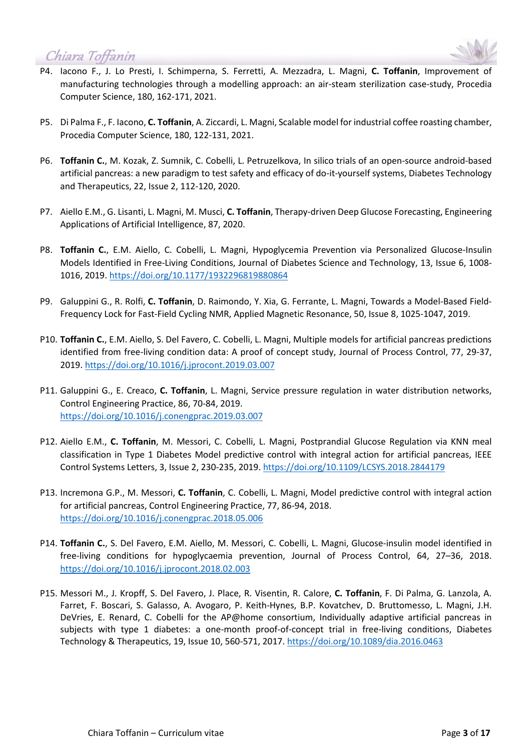

- P4. Iacono F., J. Lo Presti, I. Schimperna, S. Ferretti, A. Mezzadra, L. Magni, **C. Toffanin**, Improvement of manufacturing technologies through a modelling approach: an air-steam sterilization case-study, Procedia Computer Science, 180, 162-171, 2021.
- P5. Di Palma F., F. Iacono, **C. Toffanin**, A. Ziccardi, L. Magni, Scalable model for industrial coffee roasting chamber, Procedia Computer Science, 180, 122-131, 2021.
- P6. **Toffanin C.**, M. Kozak, Z. Sumnik, C. Cobelli, L. Petruzelkova, In silico trials of an open-source android-based artificial pancreas: a new paradigm to test safety and efficacy of do-it-yourself systems, Diabetes Technology and Therapeutics, 22, Issue 2, 112-120, 2020.
- P7. Aiello E.M., G. Lisanti, L. Magni, M. Musci, **C. Toffanin**, Therapy-driven Deep Glucose Forecasting, Engineering Applications of Artificial Intelligence, 87, 2020.
- P8. **Toffanin C.**, E.M. Aiello, C. Cobelli, L. Magni, Hypoglycemia Prevention via Personalized Glucose-Insulin Models Identified in Free-Living Conditions, Journal of Diabetes Science and Technology, 13, Issue 6, 1008- 1016, 2019. [https://doi.org/10.1177/1932296819880864](https://doi.org/10.1177%2F1932296819880864)
- P9. Galuppini G., R. Rolfi, **C. Toffanin**, D. Raimondo, Y. Xia, G. Ferrante, L. Magni, Towards a Model-Based Field-Frequency Lock for Fast-Field Cycling NMR, Applied Magnetic Resonance, 50, Issue 8, 1025-1047, 2019.
- P10. **Toffanin C.**, E.M. Aiello, S. Del Favero, C. Cobelli, L. Magni, Multiple models for artificial pancreas predictions identified from free-living condition data: A proof of concept study, Journal of Process Control, 77, 29-37, 2019. <https://doi.org/10.1016/j.jprocont.2019.03.007>
- P11. Galuppini G., E. Creaco, **C. Toffanin**, L. Magni, Service pressure regulation in water distribution networks, Control Engineering Practice, 86, 70-84, 2019. <https://doi.org/10.1016/j.conengprac.2019.03.007>
- P12. Aiello E.M., **C. Toffanin**, M. Messori, C. Cobelli, L. Magni, Postprandial Glucose Regulation via KNN meal classification in Type 1 Diabetes Model predictive control with integral action for artificial pancreas, IEEE Control Systems Letters, 3, Issue 2, 230-235, 2019. <https://doi.org/10.1109/LCSYS.2018.2844179>
- P13. Incremona G.P., M. Messori, **C. Toffanin**, C. Cobelli, L. Magni, Model predictive control with integral action for artificial pancreas, Control Engineering Practice, 77, 86-94, 2018. [https://doi.org/10.1016/j.conengprac.2018.05.006](https://doi.org/10.1016/j.jprocont.2018.02.003)
- P14. **Toffanin C.**, S. Del Favero, E.M. Aiello, M. Messori, C. Cobelli, L. Magni, Glucose-insulin model identified in free-living conditions for hypoglycaemia prevention, Journal of Process Control, 64, 27–36, 2018. <https://doi.org/10.1016/j.jprocont.2018.02.003>
- P15. Messori M., J. Kropff, S. Del Favero, J. Place, R. Visentin, R. Calore, **C. Toffanin**, F. Di Palma, G. Lanzola, A. Farret, F. Boscari, S. Galasso, A. Avogaro, P. Keith-Hynes, B.P. Kovatchev, D. Bruttomesso, L. Magni, J.H. DeVries, E. Renard, C. Cobelli for the AP@home consortium, Individually adaptive artificial pancreas in subjects with type 1 diabetes: a one-month proof-of-concept trial in free-living conditions, Diabetes Technology & Therapeutics, 19, Issue 10, 560-571, 2017.<https://doi.org/10.1089/dia.2016.0463>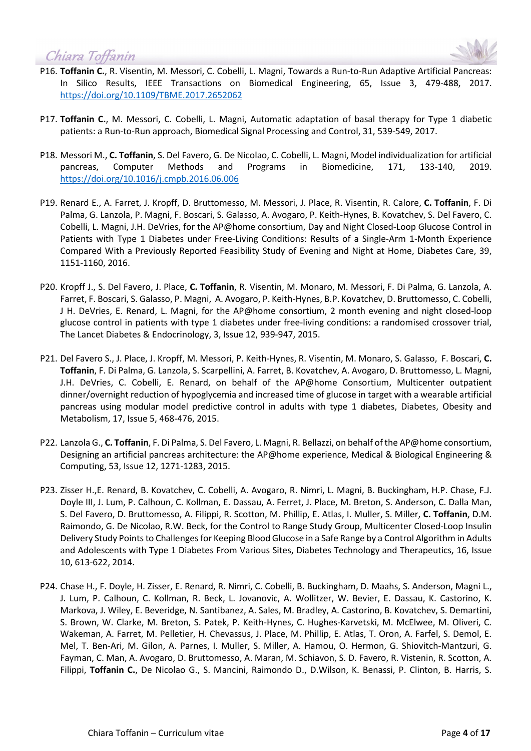



- P16. **Toffanin C.**, R. Visentin, M. Messori, C. Cobelli, L. Magni, Towards a Run-to-Run Adaptive Artificial Pancreas: In Silico Results, IEEE Transactions on Biomedical Engineering, 65, Issue 3, 479-488, 2017. <https://doi.org/10.1109/TBME.2017.2652062>
- P17. **Toffanin C.**, M. Messori, C. Cobelli, L. Magni, Automatic adaptation of basal therapy for Type 1 diabetic patients: a Run-to-Run approach, Biomedical Signal Processing and Control, 31, 539-549, 2017.
- P18. Messori M., **C. Toffanin**, S. Del Favero, G. De Nicolao, C. Cobelli, L. Magni, Model individualization for artificial pancreas, Computer Methods and Programs in Biomedicine, 171, 133-140, 2019. <https://doi.org/10.1016/j.cmpb.2016.06.006>
- P19. Renard E., A. Farret, J. Kropff, D. Bruttomesso, M. Messori, J. Place, R. Visentin, R. Calore, **C. Toffanin**, F. Di Palma, G. Lanzola, P. Magni, F. Boscari, S. Galasso, A. Avogaro, P. Keith-Hynes, B. Kovatchev, S. Del Favero, C. Cobelli, L. Magni, J.H. DeVries, for the AP@home consortium, Day and Night Closed-Loop Glucose Control in Patients with Type 1 Diabetes under Free-Living Conditions: Results of a Single-Arm 1-Month Experience Compared With a Previously Reported Feasibility Study of Evening and Night at Home, Diabetes Care, 39, 1151-1160, 2016.
- P20. Kropff J., S. Del Favero, J. Place, **C. Toffanin**, R. Visentin, M. Monaro, M. Messori, F. Di Palma, G. Lanzola, A. Farret, F. Boscari, S. Galasso, P. Magni, A. Avogaro, P. Keith-Hynes, B.P. Kovatchev, D. Bruttomesso, C. Cobelli, J H. DeVries, E. Renard, L. Magni, for the AP@home consortium, 2 month evening and night closed-loop glucose control in patients with type 1 diabetes under free-living conditions: a randomised crossover trial, The Lancet Diabetes & Endocrinology, 3, Issue 12, 939-947, 2015.
- P21. Del Favero S., J. Place, J. Kropff, M. Messori, P. Keith-Hynes, R. Visentin, M. Monaro, S. Galasso, F. Boscari, **C. Toffanin**, F. Di Palma, G. Lanzola, S. Scarpellini, A. Farret, B. Kovatchev, A. Avogaro, D. Bruttomesso, L. Magni, J.H. DeVries, C. Cobelli, E. Renard, on behalf of the AP@home Consortium, Multicenter outpatient dinner/overnight reduction of hypoglycemia and increased time of glucose in target with a wearable artificial pancreas using modular model predictive control in adults with type 1 diabetes, Diabetes, Obesity and Metabolism, 17, Issue 5, 468-476, 2015.
- P22. Lanzola G., **C. Toffanin**, F. Di Palma, S. Del Favero, L. Magni, R. Bellazzi, on behalf of the AP@home consortium, Designing an artificial pancreas architecture: the AP@home experience, Medical & Biological Engineering & Computing, 53, Issue 12, 1271-1283, 2015.
- P23. Zisser H.,E. Renard, B. Kovatchev, C. Cobelli, A. Avogaro, R. Nimri, L. Magni, B. Buckingham, H.P. Chase, F.J. Doyle III, J. Lum, P. Calhoun, C. Kollman, E. Dassau, A. Ferret, J. Place, M. Breton, S. Anderson, C. Dalla Man, S. Del Favero, D. Bruttomesso, A. Filippi, R. Scotton, M. Phillip, E. Atlas, I. Muller, S. Miller, **C. Toffanin**, D.M. Raimondo, G. De Nicolao, R.W. Beck, for the Control to Range Study Group, Multicenter Closed-Loop Insulin Delivery Study Points to Challenges for Keeping Blood Glucose in a Safe Range by a Control Algorithm in Adults and Adolescents with Type 1 Diabetes From Various Sites, Diabetes Technology and Therapeutics, 16, Issue 10, 613-622, 2014.
- P24. Chase H., F. Doyle, H. Zisser, E. Renard, R. Nimri, C. Cobelli, B. Buckingham, D. Maahs, S. Anderson, Magni L., J. Lum, P. Calhoun, C. Kollman, R. Beck, L. Jovanovic, A. Wollitzer, W. Bevier, E. Dassau, K. Castorino, K. Markova, J. Wiley, E. Beveridge, N. Santibanez, A. Sales, M. Bradley, A. Castorino, B. Kovatchev, S. Demartini, S. Brown, W. Clarke, M. Breton, S. Patek, P. Keith-Hynes, C. Hughes-Karvetski, M. McElwee, M. Oliveri, C. Wakeman, A. Farret, M. Pelletier, H. Chevassus, J. Place, M. Phillip, E. Atlas, T. Oron, A. Farfel, S. Demol, E. Mel, T. Ben-Ari, M. Gilon, A. Parnes, I. Muller, S. Miller, A. Hamou, O. Hermon, G. Shiovitch-Mantzuri, G. Fayman, C. Man, A. Avogaro, D. Bruttomesso, A. Maran, M. Schiavon, S. D. Favero, R. Vistenin, R. Scotton, A. Filippi, **Toffanin C.**, De Nicolao G., S. Mancini, Raimondo D., D.Wilson, K. Benassi, P. Clinton, B. Harris, S.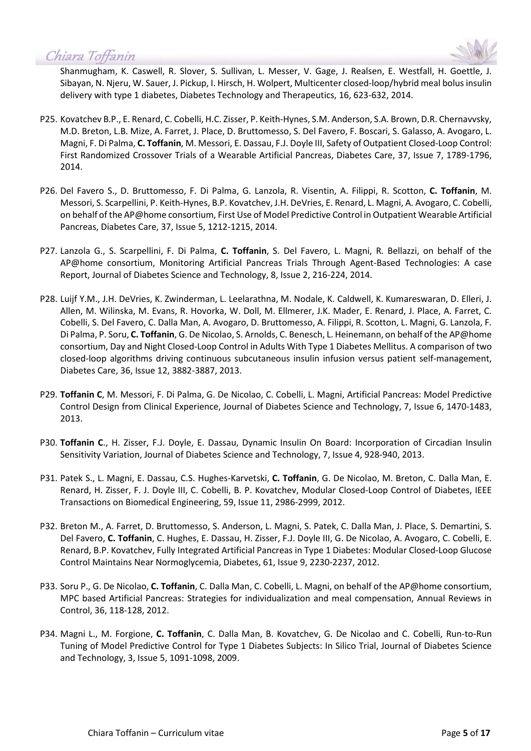

Shanmugham, K. Caswell, R. Slover, S. Sullivan, L. Messer, V. Gage, J. Realsen, E. Westfall, H. Goettle, J. Sibayan, N. Njeru, W. Sauer, J. Pickup, I. Hirsch, H. Wolpert, Multicenter closed-loop/hybrid meal bolus insulin delivery with type 1 diabetes, Diabetes Technology and Therapeutics, 16, 623-632, 2014.

- P25. Kovatchev B.P., E. Renard, C. Cobelli, H.C. Zisser, P. Keith-Hynes, S.M. Anderson, S.A. Brown, D.R. Chernavvsky, M.D. Breton, L.B. Mize, A. Farret, J. Place, D. Bruttomesso, S. Del Favero, F. Boscari, S. Galasso, A. Avogaro, L. Magni, F. Di Palma, **C. Toffanin**, M. Messori, E. Dassau, F.J. Doyle III, Safety of Outpatient Closed-Loop Control: First Randomized Crossover Trials of a Wearable Artificial Pancreas, Diabetes Care, 37, Issue 7, 1789-1796, 2014.
- P26. Del Favero S., D. Bruttomesso, F. Di Palma, G. Lanzola, R. Visentin, A. Filippi, R. Scotton, **C. Toffanin**, M. Messori, S. Scarpellini, P. Keith-Hynes, B.P. Kovatchev, J.H. DeVries, E. Renard, L. Magni, A. Avogaro, C. Cobelli, on behalf of the AP@home consortium, First Use of Model Predictive Control in Outpatient Wearable Artificial Pancreas, Diabetes Care, 37, Issue 5, 1212-1215, 2014.
- P27. Lanzola G., S. Scarpellini, F. Di Palma, **C. Toffanin**, S. Del Favero, L. Magni, R. Bellazzi, on behalf of the AP@home consortium, Monitoring Artificial Pancreas Trials Through Agent-Based Technologies: A case Report, Journal of Diabetes Science and Technology, 8, Issue 2, 216-224, 2014.
- P28. Luijf Y.M., J.H. DeVries, K. Zwinderman, L. Leelarathna, M. Nodale, K. Caldwell, K. Kumareswaran, D. Elleri, J. Allen, M. Wilinska, M. Evans, R. Hovorka, W. Doll, M. Ellmerer, J.K. Mader, E. Renard, J. Place, A. Farret, C. Cobelli, S. Del Favero, C. Dalla Man, A. Avogaro, D. Bruttomesso, A. Filippi, R. Scotton, L. Magni, G. Lanzola, F. Di Palma, P. Soru, **C. Toffanin**, G. De Nicolao, S. Arnolds, C. Benesch, L. Heinemann, on behalf of the AP@home consortium, Day and Night Closed-Loop Control in Adults With Type 1 Diabetes Mellitus. A comparison of two closed-loop algorithms driving continuous subcutaneous insulin infusion versus patient self-management, Diabetes Care, 36, Issue 12, 3882-3887, 2013.
- P29. **Toffanin C**, M. Messori, F. Di Palma, G. De Nicolao, C. Cobelli, L. Magni, Artificial Pancreas: Model Predictive Control Design from Clinical Experience, Journal of Diabetes Science and Technology, 7, Issue 6, 1470-1483, 2013.
- P30. **Toffanin C**., H. Zisser, F.J. Doyle, E. Dassau, Dynamic Insulin On Board: Incorporation of Circadian Insulin Sensitivity Variation, Journal of Diabetes Science and Technology, 7, Issue 4, 928-940, 2013.
- P31. Patek S., L. Magni, E. Dassau, C.S. Hughes-Karvetski, **C. Toffanin**, G. De Nicolao, M. Breton, C. Dalla Man, E. Renard, H. Zisser, F. J. Doyle III, C. Cobelli, B. P. Kovatchev, Modular Closed-Loop Control of Diabetes, IEEE Transactions on Biomedical Engineering, 59, Issue 11, 2986-2999, 2012.
- P32. Breton M., A. Farret, D. Bruttomesso, S. Anderson, L. Magni, S. Patek, C. Dalla Man, J. Place, S. Demartini, S. Del Favero, **C. Toffanin**, C. Hughes, E. Dassau, H. Zisser, F.J. Doyle III, G. De Nicolao, A. Avogaro, C. Cobelli, E. Renard, B.P. Kovatchev, Fully Integrated Artificial Pancreas in Type 1 Diabetes: Modular Closed-Loop Glucose Control Maintains Near Normoglycemia, Diabetes, 61, Issue 9, 2230-2237, 2012.
- P33. Soru P., G. De Nicolao, **C. Toffanin**, C. Dalla Man, C. Cobelli, L. Magni, on behalf of the AP@home consortium, MPC based Artificial Pancreas: Strategies for individualization and meal compensation, Annual Reviews in Control, 36, 118-128, 2012.
- P34. Magni L., M. Forgione, **C. Toffanin**, C. Dalla Man, B. Kovatchev, G. De Nicolao and C. Cobelli, Run-to-Run Tuning of Model Predictive Control for Type 1 Diabetes Subjects: In Silico Trial, Journal of Diabetes Science and Technology, 3, Issue 5, 1091-1098, 2009.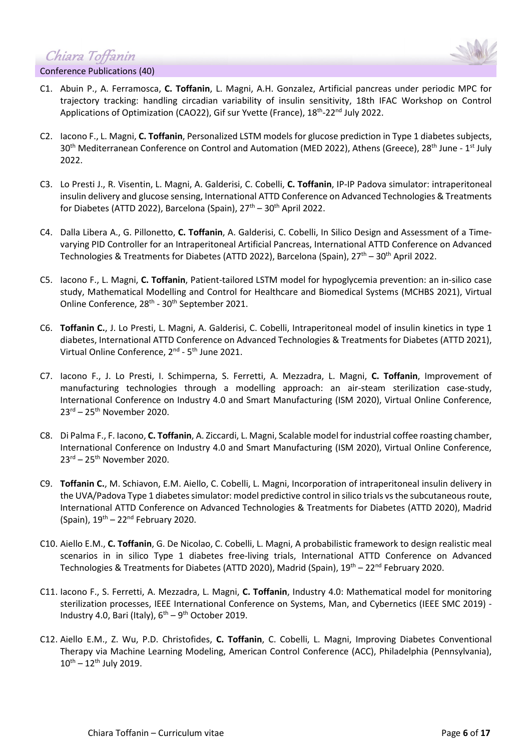Chiara Toffanin



- Conference Publications (40)
- C1. Abuin P., A. Ferramosca, **C. Toffanin**, L. Magni, A.H. Gonzalez, Artificial pancreas under periodic MPC for trajectory tracking: handling circadian variability of insulin sensitivity, 18th IFAC Workshop on Control Applications of Optimization (CAO22), Gif sur Yvette (France), 18<sup>th</sup>-22<sup>nd</sup> July 2022.
- C2. Iacono F., L. Magni, **C. Toffanin**, Personalized LSTM models for glucose prediction in Type 1 diabetes subjects, 30<sup>th</sup> Mediterranean Conference on Control and Automation (MED 2022), Athens (Greece), 28<sup>th</sup> June - 1<sup>st</sup> July 2022.
- C3. Lo Presti J., R. Visentin, L. Magni, A. Galderisi, C. Cobelli, **C. Toffanin**, IP-IP Padova simulator: intraperitoneal insulin delivery and glucose sensing, International ATTD Conference on Advanced Technologies & Treatments for Diabetes (ATTD 2022), Barcelona (Spain),  $27<sup>th</sup> - 30<sup>th</sup>$  April 2022.
- C4. Dalla Libera A., G. Pillonetto, **C. Toffanin**, A. Galderisi, C. Cobelli, In Silico Design and Assessment of a Timevarying PID Controller for an Intraperitoneal Artificial Pancreas, International ATTD Conference on Advanced Technologies & Treatments for Diabetes (ATTD 2022), Barcelona (Spain),  $27<sup>th</sup> - 30<sup>th</sup>$  April 2022.
- C5. Iacono F., L. Magni, **C. Toffanin**, Patient-tailored LSTM model for hypoglycemia prevention: an in-silico case study, Mathematical Modelling and Control for Healthcare and Biomedical Systems (MCHBS 2021), Virtual Online Conference, 28<sup>th</sup> - 30<sup>th</sup> September 2021.
- C6. **Toffanin C.**, J. Lo Presti, L. Magni, A. Galderisi, C. Cobelli, Intraperitoneal model of insulin kinetics in type 1 diabetes, International ATTD Conference on Advanced Technologies & Treatments for Diabetes (ATTD 2021), Virtual Online Conference, 2<sup>nd</sup> - 5<sup>th</sup> June 2021.
- C7. Iacono F., J. Lo Presti, I. Schimperna, S. Ferretti, A. Mezzadra, L. Magni, **C. Toffanin**, Improvement of manufacturing technologies through a modelling approach: an air-steam sterilization case-study, International Conference on Industry 4.0 and Smart Manufacturing (ISM 2020), Virtual Online Conference, 23rd – 25th November 2020.
- C8. Di Palma F., F. Iacono, **C. Toffanin**, A. Ziccardi, L. Magni, Scalable model for industrial coffee roasting chamber, International Conference on Industry 4.0 and Smart Manufacturing (ISM 2020), Virtual Online Conference,  $23<sup>rd</sup> - 25<sup>th</sup>$  November 2020.
- C9. **Toffanin C.**, M. Schiavon, E.M. Aiello, C. Cobelli, L. Magni, Incorporation of intraperitoneal insulin delivery in the UVA/Padova Type 1 diabetes simulator: model predictive control in silico trials vs the subcutaneous route, International ATTD Conference on Advanced Technologies & Treatments for Diabetes (ATTD 2020), Madrid (Spain),  $19^{th} - 22^{nd}$  February 2020.
- C10. Aiello E.M., **C. Toffanin**, G. De Nicolao, C. Cobelli, L. Magni, A probabilistic framework to design realistic meal scenarios in in silico Type 1 diabetes free-living trials, International ATTD Conference on Advanced Technologies & Treatments for Diabetes (ATTD 2020), Madrid (Spain), 19<sup>th</sup> – 22<sup>nd</sup> February 2020.
- C11. Iacono F., S. Ferretti, A. Mezzadra, L. Magni, **C. Toffanin**, Industry 4.0: Mathematical model for monitoring sterilization processes, IEEE International Conference on Systems, Man, and Cybernetics (IEEE SMC 2019) - Industry 4.0, Bari (Italy),  $6^{th} - 9^{th}$  October 2019.
- C12. Aiello E.M., Z. Wu, P.D. Christofides, **C. Toffanin**, C. Cobelli, L. Magni, Improving Diabetes Conventional Therapy via Machine Learning Modeling, American Control Conference (ACC), Philadelphia (Pennsylvania),  $10^{th} - 12^{th}$  July 2019.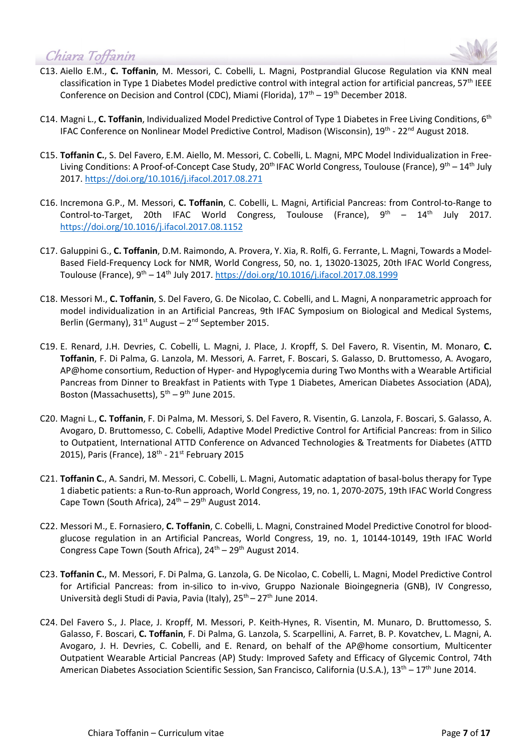

- C13. Aiello E.M., **C. Toffanin**, M. Messori, C. Cobelli, L. Magni, Postprandial Glucose Regulation via KNN meal classification in Type 1 Diabetes Model predictive control with integral action for artificial pancreas, 57<sup>th</sup> IEEE Conference on Decision and Control (CDC), Miami (Florida),  $17<sup>th</sup> - 19<sup>th</sup>$  December 2018.
- C14. Magni L., **C. Toffanin**, Individualized Model Predictive Control of Type 1 Diabetes in Free Living Conditions, 6th IFAC Conference on Nonlinear Model Predictive Control, Madison (Wisconsin), 19<sup>th</sup> - 22<sup>nd</sup> August 2018.
- C15. **Toffanin C.**, S. Del Favero, E.M. Aiello, M. Messori, C. Cobelli, L. Magni, MPC Model Individualization in Free-Living Conditions: A Proof-of-Concept Case Study, 20<sup>th</sup> IFAC World Congress, Toulouse (France), 9<sup>th</sup> – 14<sup>th</sup> July 2017.<https://doi.org/10.1016/j.ifacol.2017.08.271>
- C16. Incremona G.P., M. Messori, **C. Toffanin**, C. Cobelli, L. Magni, Artificial Pancreas: from Control-to-Range to Control-to-Target, 20th IFAC World Congress, Toulouse (France),  $9<sup>th</sup> - 14<sup>th</sup>$  July 2017. <https://doi.org/10.1016/j.ifacol.2017.08.1152>
- C17. Galuppini G., **C. Toffanin**, D.M. Raimondo, A. Provera, Y. Xia, R. Rolfi, G. Ferrante, L. Magni, Towards a Model-Based Field-Frequency Lock for NMR, World Congress, 50, no. 1, 13020-13025, 20th IFAC World Congress, Toulouse (France), 9<sup>th</sup> – 14<sup>th</sup> July 2017. <https://doi.org/10.1016/j.ifacol.2017.08.1999>
- C18. Messori M., **C. Toffanin**, S. Del Favero, G. De Nicolao, C. Cobelli, and L. Magni, A nonparametric approach for model individualization in an Artificial Pancreas, 9th IFAC Symposium on Biological and Medical Systems, Berlin (Germany),  $31<sup>st</sup>$  August –  $2<sup>nd</sup>$  September 2015.
- C19. E. Renard, J.H. Devries, C. Cobelli, L. Magni, J. Place, J. Kropff, S. Del Favero, R. Visentin, M. Monaro, **C. Toffanin**, F. Di Palma, G. Lanzola, M. Messori, A. Farret, F. Boscari, S. Galasso, D. Bruttomesso, A. Avogaro, AP@home consortium, Reduction of Hyper- and Hypoglycemia during Two Months with a Wearable Artificial Pancreas from Dinner to Breakfast in Patients with Type 1 Diabetes, American Diabetes Association (ADA), Boston (Massachusetts),  $5^{th} - 9^{th}$  June 2015.
- C20. Magni L., **C. Toffanin**, F. Di Palma, M. Messori, S. Del Favero, R. Visentin, G. Lanzola, F. Boscari, S. Galasso, A. Avogaro, D. Bruttomesso, C. Cobelli, Adaptive Model Predictive Control for Artificial Pancreas: from in Silico to Outpatient, International ATTD Conference on Advanced Technologies & Treatments for Diabetes (ATTD 2015), Paris (France),  $18<sup>th</sup>$  - 21<sup>st</sup> February 2015
- C21. **Toffanin C.**, A. Sandri, M. Messori, C. Cobelli, L. Magni, Automatic adaptation of basal-bolus therapy for Type 1 diabetic patients: a Run-to-Run approach, World Congress, 19, no. 1, 2070-2075, 19th IFAC World Congress Cape Town (South Africa),  $24<sup>th</sup> - 29<sup>th</sup>$  August 2014.
- C22. Messori M., E. Fornasiero, **C. Toffanin**, C. Cobelli, L. Magni, Constrained Model Predictive Conotrol for bloodglucose regulation in an Artificial Pancreas, World Congress, 19, no. 1, 10144-10149, 19th IFAC World Congress Cape Town (South Africa),  $24<sup>th</sup> - 29<sup>th</sup>$  August 2014.
- C23. **Toffanin C.**, M. Messori, F. Di Palma, G. Lanzola, G. De Nicolao, C. Cobelli, L. Magni, Model Predictive Control for Artificial Pancreas: from in-silico to in-vivo, Gruppo Nazionale Bioingegneria (GNB), IV Congresso, Università degli Studi di Pavia, Pavia (Italy), 25<sup>th</sup> – 27<sup>th</sup> June 2014.
- C24. Del Favero S., J. Place, J. Kropff, M. Messori, P. Keith-Hynes, R. Visentin, M. Munaro, D. Bruttomesso, S. Galasso, F. Boscari, **C. Toffanin**, F. Di Palma, G. Lanzola, S. Scarpellini, A. Farret, B. P. Kovatchev, L. Magni, A. Avogaro, J. H. Devries, C. Cobelli, and E. Renard, on behalf of the AP@home consortium, Multicenter Outpatient Wearable Articial Pancreas (AP) Study: Improved Safety and Efficacy of Glycemic Control, 74th American Diabetes Association Scientific Session, San Francisco, California (U.S.A.), 13<sup>th</sup> – 17<sup>th</sup> June 2014.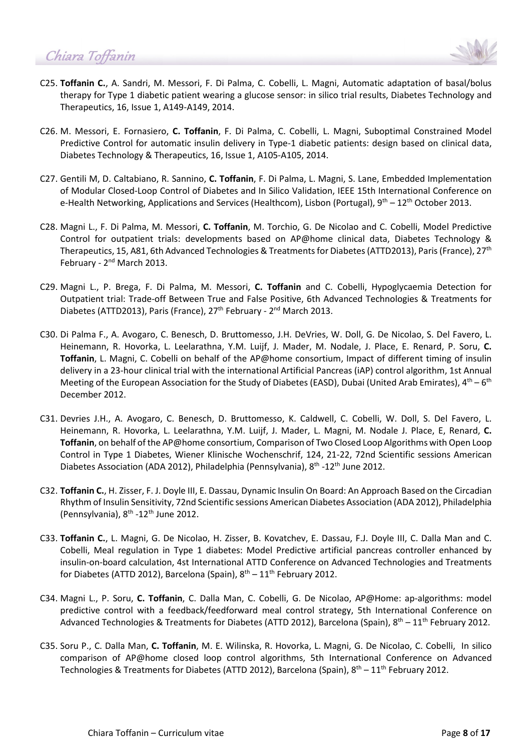

- C25. **Toffanin C.**, A. Sandri, M. Messori, F. Di Palma, C. Cobelli, L. Magni, Automatic adaptation of basal/bolus therapy for Type 1 diabetic patient wearing a glucose sensor: in silico trial results, Diabetes Technology and Therapeutics, 16, Issue 1, A149-A149, 2014.
- C26. M. Messori, E. Fornasiero, **C. Toffanin**, F. Di Palma, C. Cobelli, L. Magni, Suboptimal Constrained Model Predictive Control for automatic insulin delivery in Type-1 diabetic patients: design based on clinical data, Diabetes Technology & Therapeutics, 16, Issue 1, A105-A105, 2014.
- C27. Gentili M, D. Caltabiano, R. Sannino, **C. Toffanin**, F. Di Palma, L. Magni, S. Lane, Embedded Implementation of Modular Closed-Loop Control of Diabetes and In Silico Validation, IEEE 15th International Conference on e-Health Networking, Applications and Services (Healthcom), Lisbon (Portugal),  $9<sup>th</sup> - 12<sup>th</sup>$  October 2013.
- C28. Magni L., F. Di Palma, M. Messori, **C. Toffanin**, M. Torchio, G. De Nicolao and C. Cobelli, Model Predictive Control for outpatient trials: developments based on AP@home clinical data, Diabetes Technology & Therapeutics, 15, A81, 6th Advanced Technologies & Treatments for Diabetes (ATTD2013), Paris (France), 27<sup>th</sup> February - 2<sup>nd</sup> March 2013.
- C29. Magni L., P. Brega, F. Di Palma, M. Messori, **C. Toffanin** and C. Cobelli, Hypoglycaemia Detection for Outpatient trial: Trade-off Between True and False Positive, 6th Advanced Technologies & Treatments for Diabetes (ATTD2013), Paris (France), 27<sup>th</sup> February - 2<sup>nd</sup> March 2013.
- C30. Di Palma F., A. Avogaro, C. Benesch, D. Bruttomesso, J.H. DeVries, W. Doll, G. De Nicolao, S. Del Favero, L. Heinemann, R. Hovorka, L. Leelarathna, Y.M. Luijf, J. Mader, M. Nodale, J. Place, E. Renard, P. Soru, **C. Toffanin**, L. Magni, C. Cobelli on behalf of the AP@home consortium, Impact of different timing of insulin delivery in a 23-hour clinical trial with the international Artificial Pancreas (iAP) control algorithm, 1st Annual Meeting of the European Association for the Study of Diabetes (EASD), Dubai (United Arab Emirates),  $4^{th}$  – 6<sup>th</sup> December 2012.
- C31. Devries J.H., A. Avogaro, C. Benesch, D. Bruttomesso, K. Caldwell, C. Cobelli, W. Doll, S. Del Favero, L. Heinemann, R. Hovorka, L. Leelarathna, Y.M. Luijf, J. Mader, L. Magni, M. Nodale J. Place, E, Renard, **C. Toffanin**, on behalf of the AP@home consortium, Comparison of Two Closed Loop Algorithms with Open Loop Control in Type 1 Diabetes, Wiener Klinische Wochenschrif, 124, 21-22, 72nd Scientific sessions American Diabetes Association (ADA 2012), Philadelphia (Pennsylvania), 8<sup>th</sup> -12<sup>th</sup> June 2012.
- C32. **Toffanin C.**, H. Zisser, F. J. Doyle III, E. Dassau, Dynamic Insulin On Board: An Approach Based on the Circadian Rhythm of Insulin Sensitivity, 72nd Scientific sessions American Diabetes Association (ADA 2012), Philadelphia (Pennsylvania),  $8^{th}$  -12<sup>th</sup> June 2012.
- C33. **Toffanin C.**, L. Magni, G. De Nicolao, H. Zisser, B. Kovatchev, E. Dassau, F.J. Doyle III, C. Dalla Man and C. Cobelli, Meal regulation in Type 1 diabetes: Model Predictive artificial pancreas controller enhanced by insulin-on-board calculation, 4st International ATTD Conference on Advanced Technologies and Treatments for Diabetes (ATTD 2012), Barcelona (Spain),  $8^{th} - 11^{th}$  February 2012.
- C34. Magni L., P. Soru, **C. Toffanin**, C. Dalla Man, C. Cobelli, G. De Nicolao, AP@Home: ap-algorithms: model predictive control with a feedback/feedforward meal control strategy, 5th International Conference on Advanced Technologies & Treatments for Diabetes (ATTD 2012), Barcelona (Spain),  $8^{th}$  – 11<sup>th</sup> February 2012.
- C35. Soru P., C. Dalla Man, **C. Toffanin**, M. E. Wilinska, R. Hovorka, L. Magni, G. De Nicolao, C. Cobelli, In silico comparison of AP@home closed loop control algorithms, 5th International Conference on Advanced Technologies & Treatments for Diabetes (ATTD 2012), Barcelona (Spain), 8<sup>th</sup> – 11<sup>th</sup> February 2012.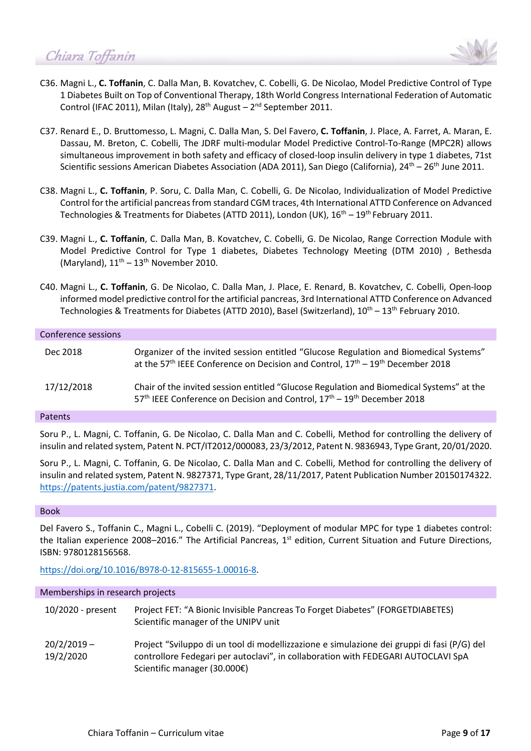

- C36. Magni L., **C. Toffanin**, C. Dalla Man, B. Kovatchev, C. Cobelli, G. De Nicolao, Model Predictive Control of Type 1 Diabetes Built on Top of Conventional Therapy, 18th World Congress International Federation of Automatic Control (IFAC 2011), Milan (Italy),  $28<sup>th</sup>$  August –  $2<sup>nd</sup>$  September 2011.
- C37. Renard E., D. Bruttomesso, L. Magni, C. Dalla Man, S. Del Favero, **C. Toffanin**, J. Place, A. Farret, A. Maran, E. Dassau, M. Breton, C. Cobelli, The JDRF multi-modular Model Predictive Control-To-Range (MPC2R) allows simultaneous improvement in both safety and efficacy of closed-loop insulin delivery in type 1 diabetes, 71st Scientific sessions American Diabetes Association (ADA 2011), San Diego (California), 24<sup>th</sup> – 26<sup>th</sup> June 2011.
- C38. Magni L., **C. Toffanin**, P. Soru, C. Dalla Man, C. Cobelli, G. De Nicolao, Individualization of Model Predictive Control for the artificial pancreas from standard CGM traces, 4th International ATTD Conference on Advanced Technologies & Treatments for Diabetes (ATTD 2011), London (UK),  $16<sup>th</sup> - 19<sup>th</sup>$  February 2011.
- C39. Magni L., **C. Toffanin**, C. Dalla Man, B. Kovatchev, C. Cobelli, G. De Nicolao, Range Correction Module with Model Predictive Control for Type 1 diabetes, Diabetes Technology Meeting (DTM 2010) , Bethesda (Maryland),  $11^{th} - 13^{th}$  November 2010.
- C40. Magni L., **C. Toffanin**, G. De Nicolao, C. Dalla Man, J. Place, E. Renard, B. Kovatchev, C. Cobelli, Open-loop informed model predictive control for the artificial pancreas, 3rd International ATTD Conference on Advanced Technologies & Treatments for Diabetes (ATTD 2010), Basel (Switzerland),  $10^{th} - 13^{th}$  February 2010.

| Conference sessions |                                                                                                                                                                                                             |
|---------------------|-------------------------------------------------------------------------------------------------------------------------------------------------------------------------------------------------------------|
| Dec 2018            | Organizer of the invited session entitled "Glucose Regulation and Biomedical Systems"<br>at the 57 <sup>th</sup> IEEE Conference on Decision and Control, 17 <sup>th</sup> – 19 <sup>th</sup> December 2018 |
| 17/12/2018          | Chair of the invited session entitled "Glucose Regulation and Biomedical Systems" at the<br>57 <sup>th</sup> IEEE Conference on Decision and Control, 17 <sup>th</sup> – 19 <sup>th</sup> December 2018     |
|                     |                                                                                                                                                                                                             |

#### Patents

Soru P., L. Magni, C. Toffanin, G. De Nicolao, C. Dalla Man and C. Cobelli, Method for controlling the delivery of insulin and related system, Patent N. PCT/IT2012/000083, 23/3/2012, Patent N. 9836943, Type Grant, 20/01/2020.

Soru P., L. Magni, C. Toffanin, G. De Nicolao, C. Dalla Man and C. Cobelli, Method for controlling the delivery of insulin and related system, Patent N. 9827371, Type Grant, 28/11/2017, Patent Publication Number 20150174322. [https://patents.justia.com/patent/9827371.](https://patents.justia.com/patent/9827371)

#### Book

Del Favero S., Toffanin C., Magni L., Cobelli C. (2019). "Deployment of modular MPC for type 1 diabetes control: the Italian experience 2008–2016." The Artificial Pancreas,  $1<sup>st</sup>$  edition, Current Situation and Future Directions, ISBN: 9780128156568.

[https://doi.org/10.1016/B978-0-12-815655-1.00016-8.](https://doi.org/10.1016/B978-0-12-815655-1.00016-8)

#### Memberships in research projects

| 10/2020 - present          | Project FET: "A Bionic Invisible Pancreas To Forget Diabetes" (FORGETDIABETES)<br>Scientific manager of the UNIPV unit                                                                                          |
|----------------------------|-----------------------------------------------------------------------------------------------------------------------------------------------------------------------------------------------------------------|
| $20/2/2019 -$<br>19/2/2020 | Project "Sviluppo di un tool di modellizzazione e simulazione dei gruppi di fasi (P/G) del<br>controllore Fedegari per autoclavi", in collaboration with FEDEGARI AUTOCLAVI SpA<br>Scientific manager (30.000€) |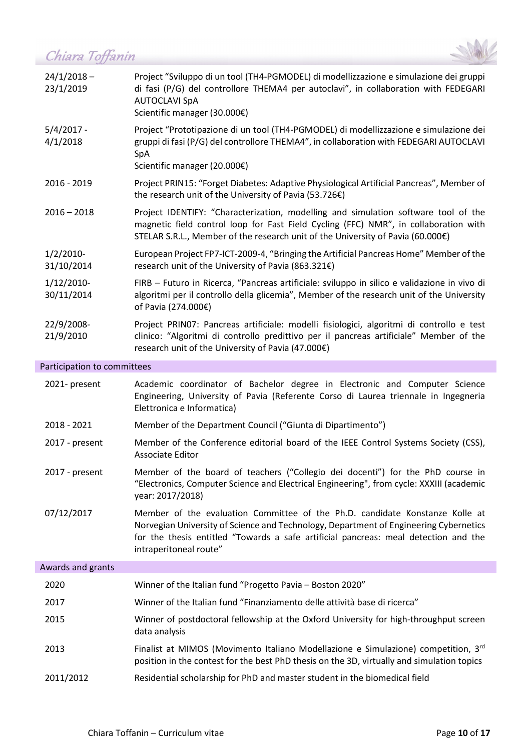

| $24/1/2018 -$<br>23/1/2019  | Project "Sviluppo di un tool (TH4-PGMODEL) di modellizzazione e simulazione dei gruppi<br>di fasi (P/G) del controllore THEMA4 per autoclavi", in collaboration with FEDEGARI<br><b>AUTOCLAVI SpA</b><br>Scientific manager (30.000€)                         |
|-----------------------------|---------------------------------------------------------------------------------------------------------------------------------------------------------------------------------------------------------------------------------------------------------------|
| $5/4/2017 -$<br>4/1/2018    | Project "Prototipazione di un tool (TH4-PGMODEL) di modellizzazione e simulazione dei<br>gruppi di fasi (P/G) del controllore THEMA4", in collaboration with FEDEGARI AUTOCLAVI<br><b>SpA</b><br>Scientific manager (20.000€)                                 |
| 2016 - 2019                 | Project PRIN15: "Forget Diabetes: Adaptive Physiological Artificial Pancreas", Member of<br>the research unit of the University of Pavia (53.726€)                                                                                                            |
| $2016 - 2018$               | Project IDENTIFY: "Characterization, modelling and simulation software tool of the<br>magnetic field control loop for Fast Field Cycling (FFC) NMR", in collaboration with<br>STELAR S.R.L., Member of the research unit of the University of Pavia (60.000€) |
| $1/2/2010$ -<br>31/10/2014  | European Project FP7-ICT-2009-4, "Bringing the Artificial Pancreas Home" Member of the<br>research unit of the University of Pavia (863.321€)                                                                                                                 |
| $1/12/2010$ -<br>30/11/2014 | FIRB - Futuro in Ricerca, "Pancreas artificiale: sviluppo in silico e validazione in vivo di<br>algoritmi per il controllo della glicemia", Member of the research unit of the University<br>of Pavia (274.000€)                                              |
| 22/9/2008-<br>21/9/2010     | Project PRINO7: Pancreas artificiale: modelli fisiologici, algoritmi di controllo e test<br>clinico: "Algoritmi di controllo predittivo per il pancreas artificiale" Member of the<br>research unit of the University of Pavia (47.000€)                      |
|                             |                                                                                                                                                                                                                                                               |

### Participation to committees

| 2021- present     | Academic coordinator of Bachelor degree in Electronic and Computer Science<br>Engineering, University of Pavia (Referente Corso di Laurea triennale in Ingegneria<br>Elettronica e Informatica)                                                                                        |
|-------------------|----------------------------------------------------------------------------------------------------------------------------------------------------------------------------------------------------------------------------------------------------------------------------------------|
| 2018 - 2021       | Member of the Department Council ("Giunta di Dipartimento")                                                                                                                                                                                                                            |
| 2017 - present    | Member of the Conference editorial board of the IEEE Control Systems Society (CSS),<br>Associate Editor                                                                                                                                                                                |
| 2017 - present    | Member of the board of teachers ("Collegio dei docenti") for the PhD course in<br>"Electronics, Computer Science and Electrical Engineering", from cycle: XXXIII (academic<br>year: 2017/2018)                                                                                         |
| 07/12/2017        | Member of the evaluation Committee of the Ph.D. candidate Konstanze Kolle at<br>Norvegian University of Science and Technology, Department of Engineering Cybernetics<br>for the thesis entitled "Towards a safe artificial pancreas: meal detection and the<br>intraperitoneal route" |
| Awards and grants |                                                                                                                                                                                                                                                                                        |
| 2020              | Winner of the Italian fund "Progetto Pavia - Boston 2020"                                                                                                                                                                                                                              |

| 2020      | Winner of the Italian fund "Progetto Pavia - Boston 2020"                                                                                                                                    |
|-----------|----------------------------------------------------------------------------------------------------------------------------------------------------------------------------------------------|
| 2017      | Winner of the Italian fund "Finanziamento delle attività base di ricerca"                                                                                                                    |
| 2015      | Winner of postdoctoral fellowship at the Oxford University for high-throughput screen<br>data analysis                                                                                       |
| 2013      | Finalist at MIMOS (Movimento Italiano Modellazione e Simulazione) competition, 3 <sup>rd</sup><br>position in the contest for the best PhD thesis on the 3D, virtually and simulation topics |
| 2011/2012 | Residential scholarship for PhD and master student in the biomedical field                                                                                                                   |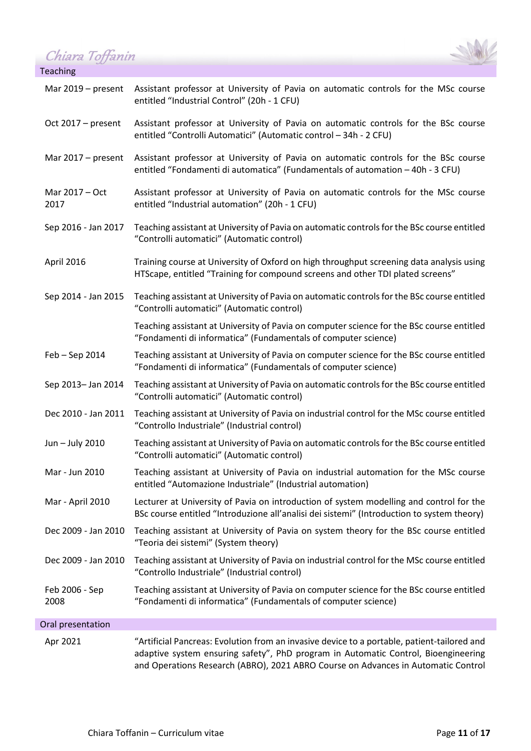*Chiara Toffanin*<br>Teaching



|  |  |  | Teaching |
|--|--|--|----------|
|  |  |  |          |

| Mar $2019$ – present   | Assistant professor at University of Pavia on automatic controls for the MSc course                                                                                                                                                                                    |
|------------------------|------------------------------------------------------------------------------------------------------------------------------------------------------------------------------------------------------------------------------------------------------------------------|
|                        | entitled "Industrial Control" (20h - 1 CFU)                                                                                                                                                                                                                            |
| Oct 2017 - present     | Assistant professor at University of Pavia on automatic controls for the BSc course<br>entitled "Controlli Automatici" (Automatic control - 34h - 2 CFU)                                                                                                               |
| Mar 2017 - present     | Assistant professor at University of Pavia on automatic controls for the BSc course<br>entitled "Fondamenti di automatica" (Fundamentals of automation - 40h - 3 CFU)                                                                                                  |
| Mar 2017 - Oct<br>2017 | Assistant professor at University of Pavia on automatic controls for the MSc course<br>entitled "Industrial automation" (20h - 1 CFU)                                                                                                                                  |
| Sep 2016 - Jan 2017    | Teaching assistant at University of Pavia on automatic controls for the BSc course entitled<br>"Controlli automatici" (Automatic control)                                                                                                                              |
| April 2016             | Training course at University of Oxford on high throughput screening data analysis using<br>HTScape, entitled "Training for compound screens and other TDI plated screens"                                                                                             |
| Sep 2014 - Jan 2015    | Teaching assistant at University of Pavia on automatic controls for the BSc course entitled<br>"Controlli automatici" (Automatic control)                                                                                                                              |
|                        | Teaching assistant at University of Pavia on computer science for the BSc course entitled<br>"Fondamenti di informatica" (Fundamentals of computer science)                                                                                                            |
| Feb - Sep 2014         | Teaching assistant at University of Pavia on computer science for the BSc course entitled<br>"Fondamenti di informatica" (Fundamentals of computer science)                                                                                                            |
| Sep 2013- Jan 2014     | Teaching assistant at University of Pavia on automatic controls for the BSc course entitled<br>"Controlli automatici" (Automatic control)                                                                                                                              |
| Dec 2010 - Jan 2011    | Teaching assistant at University of Pavia on industrial control for the MSc course entitled<br>"Controllo Industriale" (Industrial control)                                                                                                                            |
| Jun - July 2010        | Teaching assistant at University of Pavia on automatic controls for the BSc course entitled<br>"Controlli automatici" (Automatic control)                                                                                                                              |
| Mar - Jun 2010         | Teaching assistant at University of Pavia on industrial automation for the MSc course<br>entitled "Automazione Industriale" (Industrial automation)                                                                                                                    |
| Mar - April 2010       | Lecturer at University of Pavia on introduction of system modelling and control for the<br>BSc course entitled "Introduzione all'analisi dei sistemi" (Introduction to system theory)                                                                                  |
| Dec 2009 - Jan 2010    | Teaching assistant at University of Pavia on system theory for the BSc course entitled<br>"Teoria dei sistemi" (System theory)                                                                                                                                         |
| Dec 2009 - Jan 2010    | Teaching assistant at University of Pavia on industrial control for the MSc course entitled<br>"Controllo Industriale" (Industrial control)                                                                                                                            |
| Feb 2006 - Sep<br>2008 | Teaching assistant at University of Pavia on computer science for the BSc course entitled<br>"Fondamenti di informatica" (Fundamentals of computer science)                                                                                                            |
| Oral presentation      |                                                                                                                                                                                                                                                                        |
| Apr 2021               | "Artificial Pancreas: Evolution from an invasive device to a portable, patient-tailored and<br>adaptive system ensuring safety", PhD program in Automatic Control, Bioengineering<br>and Operations Research (ABRO), 2021 ABRO Course on Advances in Automatic Control |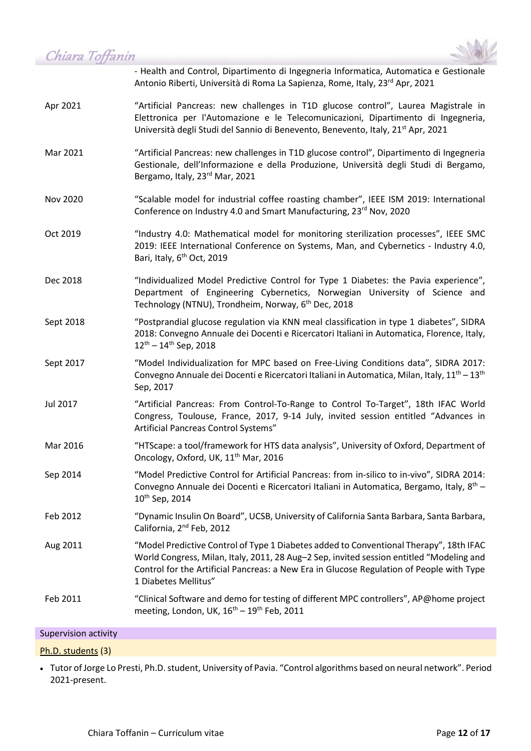



- Health and Control, Dipartimento di Ingegneria Informatica, Automatica e Gestionale Antonio Riberti, Università di Roma La Sapienza, Rome, Italy, 23rd Apr, 2021

- Apr 2021 "Artificial Pancreas: new challenges in T1D glucose control", Laurea Magistrale in Elettronica per l'Automazione e le Telecomunicazioni, Dipartimento di Ingegneria, Università degli Studi del Sannio di Benevento, Benevento, Italy, 21<sup>st</sup> Apr, 2021
- Mar 2021 "Artificial Pancreas: new challenges in T1D glucose control", Dipartimento di Ingegneria Gestionale, dell'Informazione e della Produzione, Università degli Studi di Bergamo, Bergamo, Italy, 23rd Mar, 2021
- Nov 2020 "Scalable model for industrial coffee roasting chamber", IEEE ISM 2019: International Conference on Industry 4.0 and Smart Manufacturing, 23<sup>rd</sup> Nov, 2020
- Oct 2019 "Industry 4.0: Mathematical model for monitoring sterilization processes", IEEE SMC 2019: IEEE International Conference on Systems, Man, and Cybernetics - Industry 4.0, Bari, Italy, 6<sup>th</sup> Oct, 2019
- Dec 2018 "Individualized Model Predictive Control for Type 1 Diabetes: the Pavia experience", Department of Engineering Cybernetics, Norwegian University of Science and Technology (NTNU), Trondheim, Norway, 6<sup>th</sup> Dec, 2018
- Sept 2018 "Postprandial glucose regulation via KNN meal classification in type 1 diabetes", SIDRA 2018: Convegno Annuale dei Docenti e Ricercatori Italiani in Automatica, Florence, Italy, 12th – 14th Sep, 2018
- Sept 2017 "Model Individualization for MPC based on Free-Living Conditions data", SIDRA 2017: Convegno Annuale dei Docenti e Ricercatori Italiani in Automatica, Milan, Italy,  $11^{th} - 13^{th}$ Sep, 2017
- Jul 2017 "Artificial Pancreas: From Control-To-Range to Control To-Target", 18th IFAC World Congress, Toulouse, France, 2017, 9-14 July, invited session entitled "Advances in Artificial Pancreas Control Systems"
- Mar 2016 "HTScape: a tool/framework for HTS data analysis", University of Oxford, Department of Oncology, Oxford, UK, 11<sup>th</sup> Mar, 2016
- Sep 2014 "Model Predictive Control for Artificial Pancreas: from in-silico to in-vivo", SIDRA 2014: Convegno Annuale dei Docenti e Ricercatori Italiani in Automatica, Bergamo, Italy,  $8^{th}$  – 10th Sep, 2014
- Feb 2012 "Dynamic Insulin On Board", UCSB, University of California Santa Barbara, Santa Barbara, California, 2nd Feb, 2012
- Aug 2011 "Model Predictive Control of Type 1 Diabetes added to Conventional Therapy", 18th IFAC World Congress, Milan, Italy, 2011, 28 Aug–2 Sep, invited session entitled "Modeling and Control for the Artificial Pancreas: a New Era in Glucose Regulation of People with Type 1 Diabetes Mellitus"
- Feb 2011 "Clinical Software and demo for testing of different MPC controllers", AP@home project meeting, London, UK,  $16<sup>th</sup> - 19<sup>th</sup>$  Feb, 2011

#### Supervision activity

#### Ph.D. students (3)

• Tutor of Jorge Lo Presti, Ph.D. student, University of Pavia. "Control algorithms based on neural network". Period 2021-present.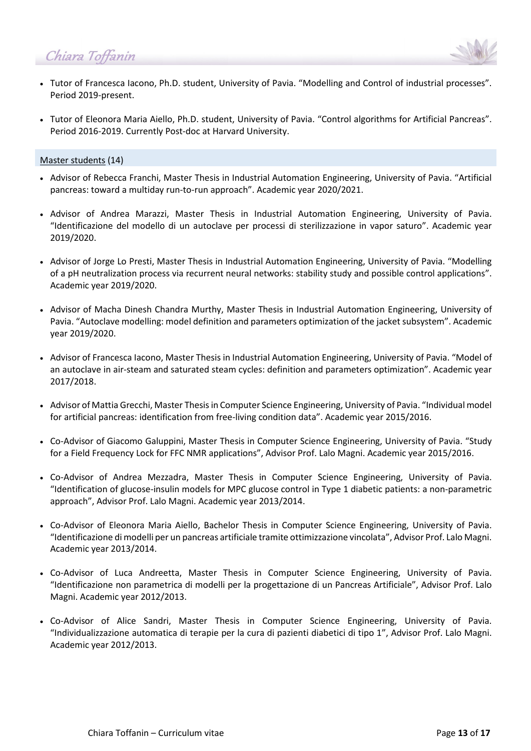

- Tutor of Francesca Iacono, Ph.D. student, University of Pavia. "Modelling and Control of industrial processes". Period 2019-present.
- Tutor of Eleonora Maria Aiello, Ph.D. student, University of Pavia. "Control algorithms for Artificial Pancreas". Period 2016-2019. Currently Post-doc at Harvard University.

#### Master students (14)

- Advisor of Rebecca Franchi, Master Thesis in Industrial Automation Engineering, University of Pavia. "Artificial pancreas: toward a multiday run-to-run approach". Academic year 2020/2021.
- Advisor of Andrea Marazzi, Master Thesis in Industrial Automation Engineering, University of Pavia. "Identificazione del modello di un autoclave per processi di sterilizzazione in vapor saturo". Academic year 2019/2020.
- Advisor of Jorge Lo Presti, Master Thesis in Industrial Automation Engineering, University of Pavia. "Modelling of a pH neutralization process via recurrent neural networks: stability study and possible control applications". Academic year 2019/2020.
- Advisor of Macha Dinesh Chandra Murthy, Master Thesis in Industrial Automation Engineering, University of Pavia. "Autoclave modelling: model definition and parameters optimization of the jacket subsystem". Academic year 2019/2020.
- Advisor of Francesca Iacono, Master Thesis in Industrial Automation Engineering, University of Pavia. "Model of an autoclave in air-steam and saturated steam cycles: definition and parameters optimization". Academic year 2017/2018.
- Advisor of Mattia Grecchi, Master Thesis in Computer Science Engineering, University of Pavia. "Individual model for artificial pancreas: identification from free-living condition data". Academic year 2015/2016.
- Co-Advisor of Giacomo Galuppini, Master Thesis in Computer Science Engineering, University of Pavia. "Study for a Field Frequency Lock for FFC NMR applications", Advisor Prof. Lalo Magni. Academic year 2015/2016.
- Co-Advisor of Andrea Mezzadra, Master Thesis in Computer Science Engineering, University of Pavia. "Identification of glucose-insulin models for MPC glucose control in Type 1 diabetic patients: a non-parametric approach", Advisor Prof. Lalo Magni. Academic year 2013/2014.
- Co-Advisor of Eleonora Maria Aiello, Bachelor Thesis in Computer Science Engineering, University of Pavia. "Identificazione di modelli per un pancreas artificiale tramite ottimizzazione vincolata", Advisor Prof. Lalo Magni. Academic year 2013/2014.
- Co-Advisor of Luca Andreetta, Master Thesis in Computer Science Engineering, University of Pavia. "Identificazione non parametrica di modelli per la progettazione di un Pancreas Artificiale", Advisor Prof. Lalo Magni. Academic year 2012/2013.
- Co-Advisor of Alice Sandri, Master Thesis in Computer Science Engineering, University of Pavia. "Individualizzazione automatica di terapie per la cura di pazienti diabetici di tipo 1", Advisor Prof. Lalo Magni. Academic year 2012/2013.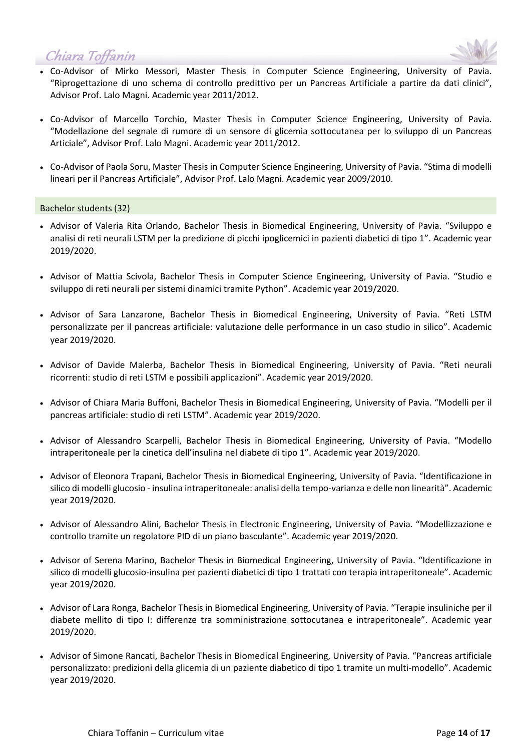

- Co-Advisor of Mirko Messori, Master Thesis in Computer Science Engineering, University of Pavia. "Riprogettazione di uno schema di controllo predittivo per un Pancreas Artificiale a partire da dati clinici", Advisor Prof. Lalo Magni. Academic year 2011/2012.
- Co-Advisor of Marcello Torchio, Master Thesis in Computer Science Engineering, University of Pavia. "Modellazione del segnale di rumore di un sensore di glicemia sottocutanea per lo sviluppo di un Pancreas Articiale", Advisor Prof. Lalo Magni. Academic year 2011/2012.
- Co-Advisor of Paola Soru, Master Thesis in Computer Science Engineering, University of Pavia. "Stima di modelli lineari per il Pancreas Artificiale", Advisor Prof. Lalo Magni. Academic year 2009/2010.

#### Bachelor students (32)

- Advisor of Valeria Rita Orlando, Bachelor Thesis in Biomedical Engineering, University of Pavia. "Sviluppo e analisi di reti neurali LSTM per la predizione di picchi ipoglicemici in pazienti diabetici di tipo 1". Academic year 2019/2020.
- Advisor of Mattia Scivola, Bachelor Thesis in Computer Science Engineering, University of Pavia. "Studio e sviluppo di reti neurali per sistemi dinamici tramite Python". Academic year 2019/2020.
- Advisor of Sara Lanzarone, Bachelor Thesis in Biomedical Engineering, University of Pavia. "Reti LSTM personalizzate per il pancreas artificiale: valutazione delle performance in un caso studio in silico". Academic year 2019/2020.
- Advisor of Davide Malerba, Bachelor Thesis in Biomedical Engineering, University of Pavia. "Reti neurali ricorrenti: studio di reti LSTM e possibili applicazioni". Academic year 2019/2020.
- Advisor of Chiara Maria Buffoni, Bachelor Thesis in Biomedical Engineering, University of Pavia. "Modelli per il pancreas artificiale: studio di reti LSTM". Academic year 2019/2020.
- Advisor of Alessandro Scarpelli, Bachelor Thesis in Biomedical Engineering, University of Pavia. "Modello intraperitoneale per la cinetica dell'insulina nel diabete di tipo 1". Academic year 2019/2020.
- Advisor of Eleonora Trapani, Bachelor Thesis in Biomedical Engineering, University of Pavia. "Identificazione in silico di modelli glucosio - insulina intraperitoneale: analisi della tempo-varianza e delle non linearità". Academic year 2019/2020.
- Advisor of Alessandro Alini, Bachelor Thesis in Electronic Engineering, University of Pavia. "Modellizzazione e controllo tramite un regolatore PID di un piano basculante". Academic year 2019/2020.
- Advisor of Serena Marino, Bachelor Thesis in Biomedical Engineering, University of Pavia. "Identificazione in silico di modelli glucosio-insulina per pazienti diabetici di tipo 1 trattati con terapia intraperitoneale". Academic year 2019/2020.
- Advisor of Lara Ronga, Bachelor Thesis in Biomedical Engineering, University of Pavia. "Terapie insuliniche per il diabete mellito di tipo I: differenze tra somministrazione sottocutanea e intraperitoneale". Academic year 2019/2020.
- Advisor of Simone Rancati, Bachelor Thesis in Biomedical Engineering, University of Pavia. "Pancreas artificiale personalizzato: predizioni della glicemia di un paziente diabetico di tipo 1 tramite un multi-modello". Academic year 2019/2020.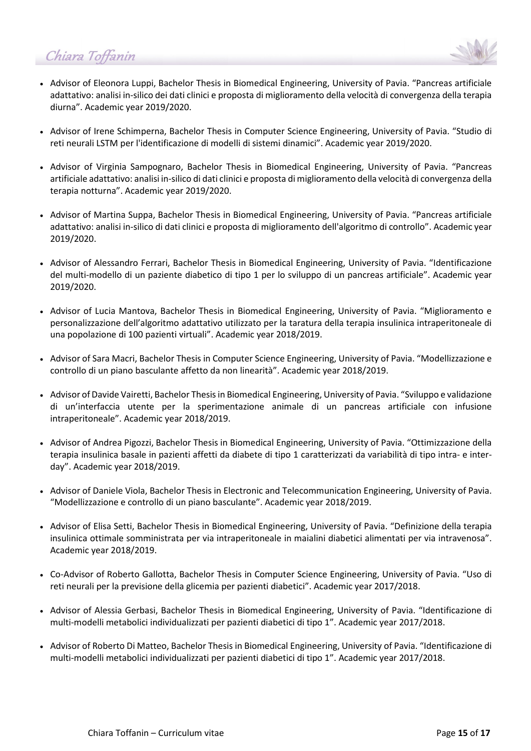- 
- Advisor of Eleonora Luppi, Bachelor Thesis in Biomedical Engineering, University of Pavia. "Pancreas artificiale adattativo: analisi in-silico dei dati clinici e proposta di miglioramento della velocità di convergenza della terapia diurna". Academic year 2019/2020.
- Advisor of Irene Schimperna, Bachelor Thesis in Computer Science Engineering, University of Pavia. "Studio di reti neurali LSTM per l'identificazione di modelli di sistemi dinamici". Academic year 2019/2020.
- Advisor of Virginia Sampognaro, Bachelor Thesis in Biomedical Engineering, University of Pavia. "Pancreas artificiale adattativo: analisi in-silico di dati clinici e proposta di miglioramento della velocità di convergenza della terapia notturna". Academic year 2019/2020.
- Advisor of Martina Suppa, Bachelor Thesis in Biomedical Engineering, University of Pavia. "Pancreas artificiale adattativo: analisi in-silico di dati clinici e proposta di miglioramento dell'algoritmo di controllo". Academic year 2019/2020.
- Advisor of Alessandro Ferrari, Bachelor Thesis in Biomedical Engineering, University of Pavia. "Identificazione del multi-modello di un paziente diabetico di tipo 1 per lo sviluppo di un pancreas artificiale". Academic year 2019/2020.
- Advisor of Lucia Mantova, Bachelor Thesis in Biomedical Engineering, University of Pavia. "Miglioramento e personalizzazione dell'algoritmo adattativo utilizzato per la taratura della terapia insulinica intraperitoneale di una popolazione di 100 pazienti virtuali". Academic year 2018/2019.
- Advisor of Sara Macri, Bachelor Thesis in Computer Science Engineering, University of Pavia. "Modellizzazione e controllo di un piano basculante affetto da non linearità". Academic year 2018/2019.
- Advisor of Davide Vairetti, Bachelor Thesis in Biomedical Engineering, University of Pavia. "Sviluppo e validazione di un'interfaccia utente per la sperimentazione animale di un pancreas artificiale con infusione intraperitoneale". Academic year 2018/2019.
- Advisor of Andrea Pigozzi, Bachelor Thesis in Biomedical Engineering, University of Pavia. "Ottimizzazione della terapia insulinica basale in pazienti affetti da diabete di tipo 1 caratterizzati da variabilità di tipo intra- e interday". Academic year 2018/2019.
- Advisor of Daniele Viola, Bachelor Thesis in Electronic and Telecommunication Engineering, University of Pavia. "Modellizzazione e controllo di un piano basculante". Academic year 2018/2019.
- Advisor of Elisa Setti, Bachelor Thesis in Biomedical Engineering, University of Pavia. "Definizione della terapia insulinica ottimale somministrata per via intraperitoneale in maialini diabetici alimentati per via intravenosa". Academic year 2018/2019.
- Co-Advisor of Roberto Gallotta, Bachelor Thesis in Computer Science Engineering, University of Pavia. "Uso di reti neurali per la previsione della glicemia per pazienti diabetici". Academic year 2017/2018.
- Advisor of Alessia Gerbasi, Bachelor Thesis in Biomedical Engineering, University of Pavia. "Identificazione di multi-modelli metabolici individualizzati per pazienti diabetici di tipo 1". Academic year 2017/2018.
- Advisor of Roberto Di Matteo, Bachelor Thesis in Biomedical Engineering, University of Pavia. "Identificazione di multi-modelli metabolici individualizzati per pazienti diabetici di tipo 1". Academic year 2017/2018.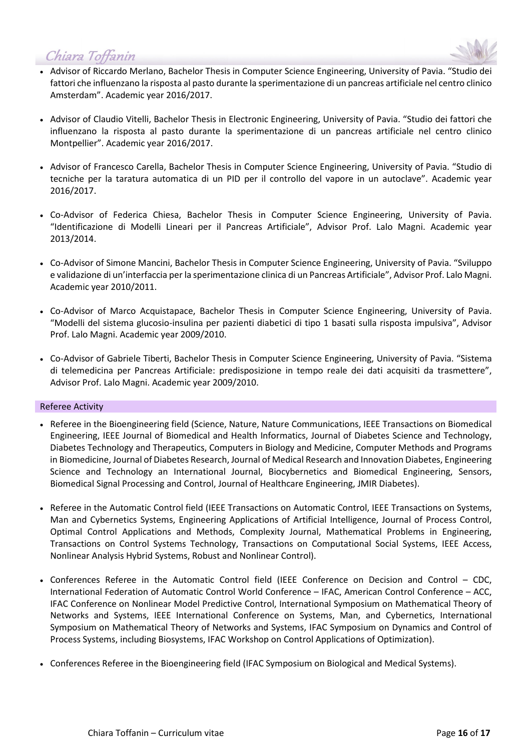

- Advisor of Riccardo Merlano, Bachelor Thesis in Computer Science Engineering, University of Pavia. "Studio dei fattori che influenzano la risposta al pasto durante la sperimentazione di un pancreas artificiale nel centro clinico Amsterdam". Academic year 2016/2017.
- Advisor of Claudio Vitelli, Bachelor Thesis in Electronic Engineering, University of Pavia. "Studio dei fattori che influenzano la risposta al pasto durante la sperimentazione di un pancreas artificiale nel centro clinico Montpellier". Academic year 2016/2017.
- Advisor of Francesco Carella, Bachelor Thesis in Computer Science Engineering, University of Pavia. "Studio di tecniche per la taratura automatica di un PID per il controllo del vapore in un autoclave". Academic year 2016/2017.
- Co-Advisor of Federica Chiesa, Bachelor Thesis in Computer Science Engineering, University of Pavia. "Identificazione di Modelli Lineari per il Pancreas Artificiale", Advisor Prof. Lalo Magni. Academic year 2013/2014.
- Co-Advisor of Simone Mancini, Bachelor Thesis in Computer Science Engineering, University of Pavia. "Sviluppo e validazione di un'interfaccia per la sperimentazione clinica di un Pancreas Artificiale", Advisor Prof. Lalo Magni. Academic year 2010/2011.
- Co-Advisor of Marco Acquistapace, Bachelor Thesis in Computer Science Engineering, University of Pavia. "Modelli del sistema glucosio-insulina per pazienti diabetici di tipo 1 basati sulla risposta impulsiva", Advisor Prof. Lalo Magni. Academic year 2009/2010.
- Co-Advisor of Gabriele Tiberti, Bachelor Thesis in Computer Science Engineering, University of Pavia. "Sistema di telemedicina per Pancreas Artificiale: predisposizione in tempo reale dei dati acquisiti da trasmettere", Advisor Prof. Lalo Magni. Academic year 2009/2010.

#### Referee Activity

- Referee in the Bioengineering field (Science, Nature, Nature Communications, IEEE Transactions on Biomedical Engineering, IEEE Journal of Biomedical and Health Informatics, Journal of Diabetes Science and Technology, Diabetes Technology and Therapeutics, Computers in Biology and Medicine, Computer Methods and Programs in Biomedicine, Journal of Diabetes Research, Journal of Medical Research and Innovation Diabetes, Engineering Science and Technology an International Journal, Biocybernetics and Biomedical Engineering, Sensors, Biomedical Signal Processing and Control, Journal of Healthcare Engineering, JMIR Diabetes).
- Referee in the Automatic Control field (IEEE Transactions on Automatic Control, IEEE Transactions on Systems, Man and Cybernetics Systems, Engineering Applications of Artificial Intelligence, Journal of Process Control, Optimal Control Applications and Methods, Complexity Journal, Mathematical Problems in Engineering, Transactions on Control Systems Technology, Transactions on Computational Social Systems, IEEE Access, Nonlinear Analysis Hybrid Systems, Robust and Nonlinear Control).
- Conferences Referee in the Automatic Control field (IEEE Conference on Decision and Control CDC, International Federation of Automatic Control World Conference – IFAC, American Control Conference – ACC, IFAC Conference on Nonlinear Model Predictive Control, International Symposium on Mathematical Theory of Networks and Systems, IEEE International Conference on Systems, Man, and Cybernetics, International Symposium on Mathematical Theory of Networks and Systems, IFAC Symposium on Dynamics and Control of Process Systems, including Biosystems, IFAC Workshop on Control Applications of Optimization).
- Conferences Referee in the Bioengineering field (IFAC Symposium on Biological and Medical Systems).